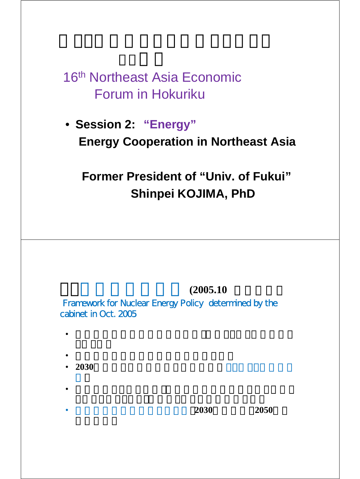# 16th Northeast Asia Economic Forum in Hokuriku

# • **Session 2: "Energy" Energy Cooperation in Northeast Asia**

## **Former President of "Univ. of Fukui" Shinpei KOJIMA, PhD**

### $(2005.10)$

Framework for Nuclear Energy Policy determined by the cabinet in Oct. 2005

- $\bullet$  example,  $\bullet$  example,  $\bullet$  example,  $\bullet$  example,  $\bullet$  example,  $\bullet$
- 日本の原子力平和利用の基本方法を確定しています。  $\bullet$  **2030**
- 
- $\bullet$  \*  $\bullet$  \*  $\bullet$  \*  $\bullet$  \*  $\bullet$  \*  $\bullet$  \*  $\bullet$  \*  $\bullet$  \*  $\bullet$  \*  $\bullet$  \*  $\bullet$  \*  $\bullet$  \*  $\bullet$  \*  $\bullet$  \*  $\bullet$  \*  $\bullet$  \*  $\bullet$  \*  $\bullet$  \*  $\bullet$  \*  $\bullet$  \*  $\bullet$  \*  $\bullet$  \*  $\bullet$  \*  $\bullet$  \*  $\bullet$  \*  $\bullet$  \*  $\bullet$  \*  $\bullet$  \*  $\bullet$  \*  $\bullet$  \*  $\bullet$  \*  $\bullet$
- a a a a a a  $2030$  **2050 2050**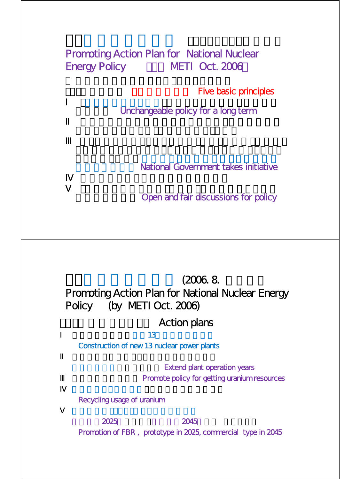### Promoting Action Plan for National Nuclear Energy Policy METI Oct. 2006

**Five basic principles** 

Unchangeable policy for a long term

National Government takes initiative

Open and fair discussions for policy

### $(2006.8$ Promoting Action Plan for National Nuclear Energy Policy (by METI Oct. 2006)

### Action plans

 $\mathbf{13}$ 

Construction of new 13 nuclear power plants

**Extend plant operation years** Promote policy for getting uranium resources

Recycling usage of uranium

実証炉は2025年に実現、商用炉は2045年に実 現をめざす Promotion of FBR , prototype in 2025, commercial type in 2045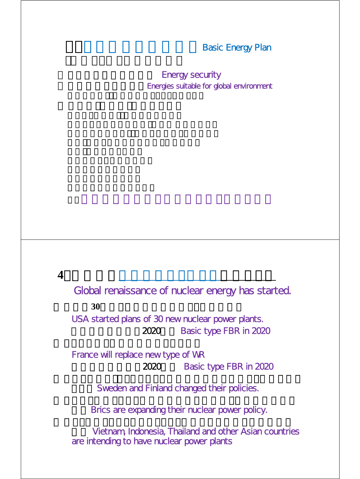#### **Basic Energy Plan**

**Energy security** Energies suitable for global environment

**4**.世界的な原子力ルネッサンスが始まった

Global renaissance of nuclear energy has started.

**30** 

USA started plans of 30 new nuclear power plants. 2020 Basic type FBR in 2020

France will replace new type of WR 2020 Basic type FBR in 2020

Sweden and Finland changed their policies.

Brics are expanding their nuclear power policy.

Vietnam, Indonesia, Thailand and other Asian countries are intending to have nuclear power plants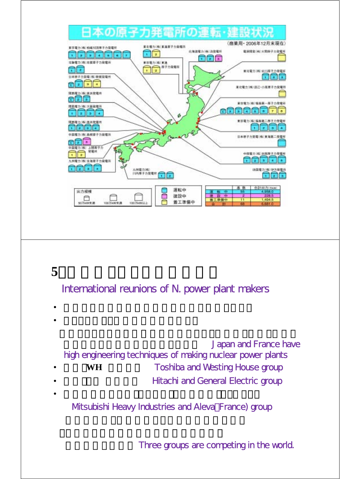

## **5**.原子力メーカーの国際再編

International reunions of N. power plant makers

- $\bullet$  Referred to the state  $\bullet$  Referred to the state  $\bullet$  $\bullet$
- **Japan and France have** high engineering techniques of making nuclear power plants **WH Toshiba and Westing House group**
- **Hitachi and General Electric group** • ニューズのコンティー コンティー コンティー コンティー コンティー コンティー
	- Mtsubishi Heavy Industries and Aleva France) group

Three groups are competing in the world.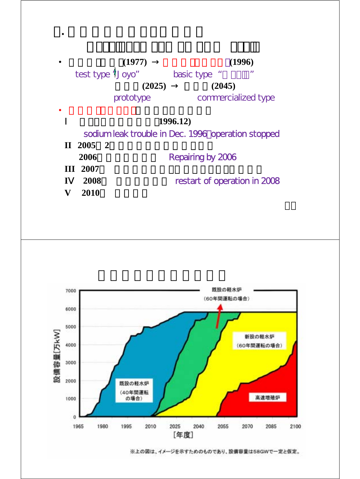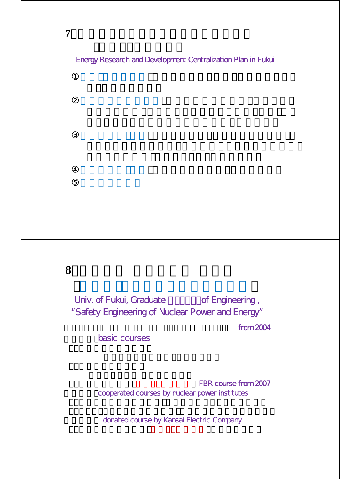Energy Research and Development Centralization Plan in Fukui

**8**.福井大学 工学研究科 大学院

Univ. of Fukui, Graduate of Engineering , "Safety Engineering of Nuclear Power and Energy"

from 2004

basic courses

FBR course from 2007 cooperated courses by nuclear power institutes

donated course by Kansai Electric Company